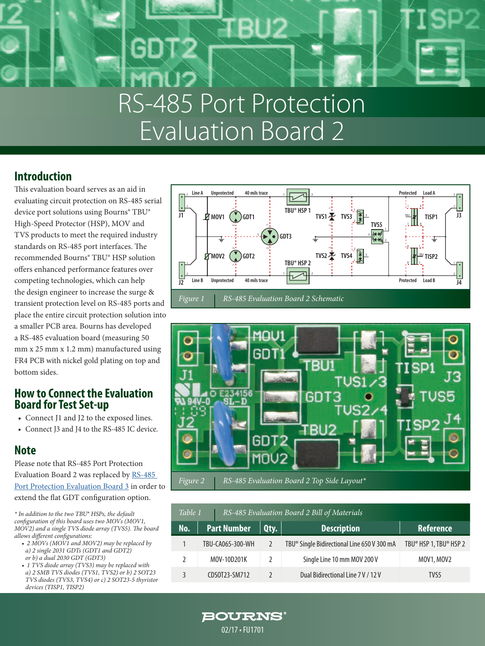# RS-485 Port Protection Evaluation Board 2

## **Introduction**

This evaluation board serves as an aid in evaluating circuit protection on RS-485 serial device port solutions using Bourns® TBU® High-Speed Protector (HSP), MOV and TVS products to meet the required industry standards on RS-485 port interfaces. The recommended Bourns® TBU® HSP solution offers enhanced performance features over competing technologies, which can help the design engineer to increase the surge & transient protection level on RS-485 ports and place the entire circuit protection solution into a smaller PCB area. Bourns has developed a RS-485 evaluation board (measuring 50 mm x 25 mm x 1.2 mm) manufactured using FR4 PCB with nickel gold plating on top and bottom sides.

### **How to Connect the Evaluation Board for Test Set-up**

- Connect J1 and J2 to the exposed lines.
- Connect J3 and J4 to the RS-485 IC device.

## **Note**

Please note that RS-485 Port Protection Evaluation Board 2 was replaced by [RS-485](http://www.bourns.com/docs/technical-documents/technical-library/circuit-protection/design-notes/bourns_k1701_rs485_evalboard3_design_note.pdf)  [Port Protection Evaluation Board 3](http://www.bourns.com/docs/technical-documents/technical-library/circuit-protection/design-notes/bourns_k1701_rs485_evalboard3_design_note.pdf) in order to extend the flat GDT configuration option.

*\* In addition to the two TBU® HSPs, the default configuration of this board uses two MOVs (MOV1, MOV2) and a single TVS diode array (TVS5). The board allows different configurations:*

- *2 MOVs (MOV1 and MOV2) may be replaced by a) 2 single 2031 GDTs (GDT1 and GDT2) or b) a dual 2030 GDT (GDT3)*
- *1 TVS diode array (TVS3) may be replaced with a) 2 SMB TVS diodes (TVS1, TVS2) or b) 2 SOT23 TVS diodes (TVS3, TVS4) or c) 2 SOT23-5 thyristor devices (TISP1, TISP2)*





| Table 1 |                    | RS-485 Evaluation Board 2 Bill of Materials |               |                                                         |                        |
|---------|--------------------|---------------------------------------------|---------------|---------------------------------------------------------|------------------------|
| No.     | <b>Part Number</b> |                                             | Qty.          | <b>Description</b>                                      | <b>Reference</b>       |
|         | TBU-CA065-300-WH   |                                             |               | TBU <sup>®</sup> Single Bidirectional Line 650 V 300 mA | TBU® HSP 1, TBU® HSP 2 |
|         |                    | MOV-10D201K                                 | $\mathcal{L}$ | Single Line 10 mm MOV 200 V                             | MOV1, MOV2             |
|         |                    | CDS0T23-SM712                               | $\mathcal{L}$ | Dual Bidirectional Line 7 V / 12 V                      | TVS5                   |

**BOURNS** 

#### 02/17 • FU1701